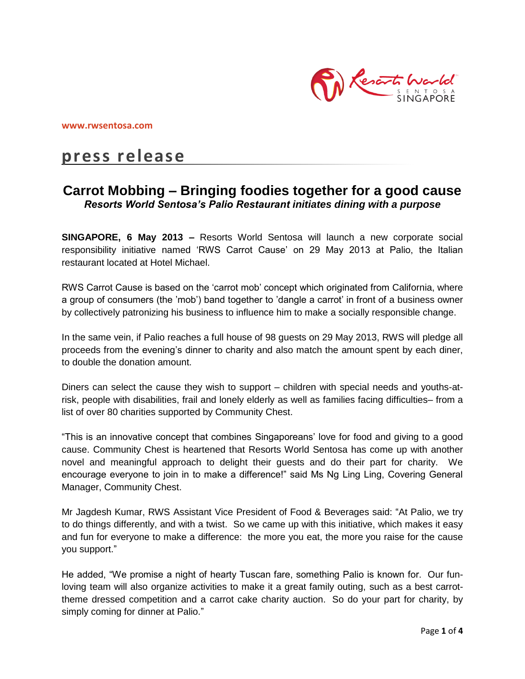

**[www.rwsentosa.com](http://www.rwsentosa.com/)**

# **press release**

## **Carrot Mobbing – Bringing foodies together for a good cause** *Resorts World Sentosa's Palio Restaurant initiates dining with a purpose*

**SINGAPORE, 6 May 2013 –** Resorts World Sentosa will launch a new corporate social responsibility initiative named 'RWS Carrot Cause' on 29 May 2013 at Palio, the Italian restaurant located at Hotel Michael.

RWS Carrot Cause is based on the 'carrot mob' concept which originated from California, where a group of consumers (the 'mob') band together to 'dangle a carrot' in front of a business owner by collectively patronizing his business to influence him to make a socially responsible change.

In the same vein, if Palio reaches a full house of 98 guests on 29 May 2013, RWS will pledge all proceeds from the evening's dinner to charity and also match the amount spent by each diner, to double the donation amount.

Diners can select the cause they wish to support – children with special needs and youths-atrisk, people with disabilities, frail and lonely elderly as well as families facing difficulties– from a list of over 80 charities supported by Community Chest.

"This is an innovative concept that combines Singaporeans' love for food and giving to a good cause. Community Chest is heartened that Resorts World Sentosa has come up with another novel and meaningful approach to delight their guests and do their part for charity. We encourage everyone to join in to make a difference!" said Ms Ng Ling Ling, Covering General Manager, Community Chest.

Mr Jagdesh Kumar, RWS Assistant Vice President of Food & Beverages said: "At Palio, we try to do things differently, and with a twist. So we came up with this initiative, which makes it easy and fun for everyone to make a difference: the more you eat, the more you raise for the cause you support."

He added, "We promise a night of hearty Tuscan fare, something Palio is known for. Our funloving team will also organize activities to make it a great family outing, such as a best carrottheme dressed competition and a carrot cake charity auction. So do your part for charity, by simply coming for dinner at Palio."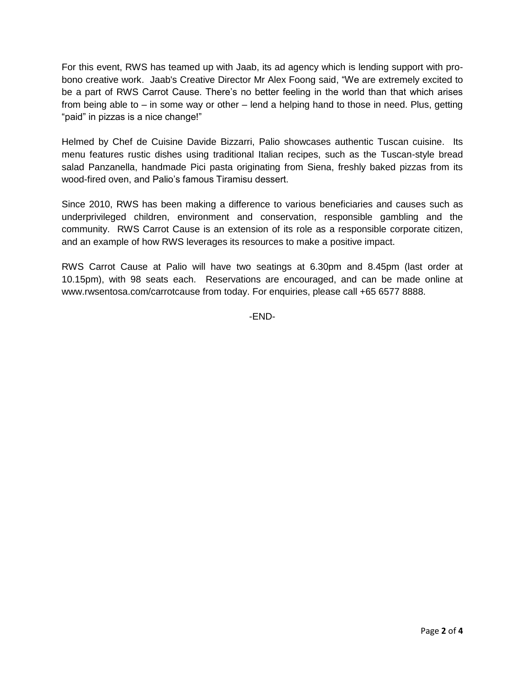For this event, RWS has teamed up with Jaab, its ad agency which is lending support with probono creative work. Jaab's Creative Director Mr Alex Foong said, "We are extremely excited to be a part of RWS Carrot Cause. There's no better feeling in the world than that which arises from being able to – in some way or other – lend a helping hand to those in need. Plus, getting "paid" in pizzas is a nice change!"

Helmed by Chef de Cuisine Davide Bizzarri, Palio showcases authentic Tuscan cuisine. Its menu features rustic dishes using traditional Italian recipes, such as the Tuscan-style bread salad Panzanella, handmade Pici pasta originating from Siena, freshly baked pizzas from its wood-fired oven, and Palio's famous Tiramisu dessert.

Since 2010, RWS has been making a difference to various beneficiaries and causes such as underprivileged children, environment and conservation, responsible gambling and the community. RWS Carrot Cause is an extension of its role as a responsible corporate citizen, and an example of how RWS leverages its resources to make a positive impact.

RWS Carrot Cause at Palio will have two seatings at 6.30pm and 8.45pm (last order at 10.15pm), with 98 seats each. Reservations are encouraged, and can be made online at [www.rwsentosa.com/carrotcause](http://www.rwsentosa.com/carrotcause) from today. For enquiries, please call +65 6577 8888.

-END-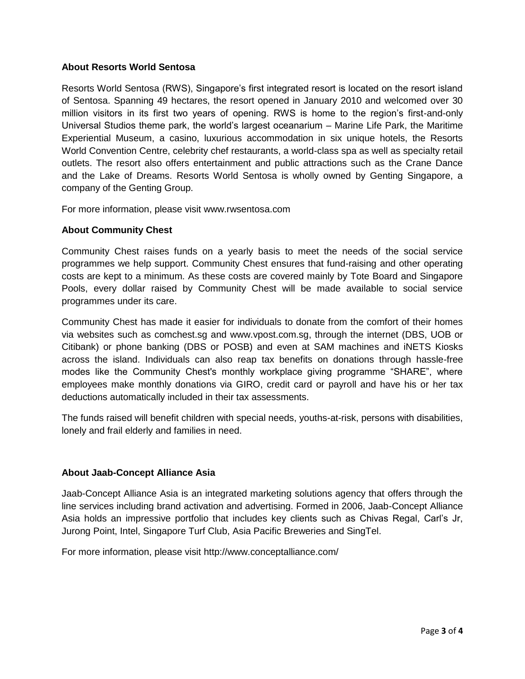### **About Resorts World Sentosa**

Resorts World Sentosa (RWS), Singapore's first integrated resort is located on the resort island of Sentosa. Spanning 49 hectares, the resort opened in January 2010 and welcomed over 30 million visitors in its first two years of opening. RWS is home to the region's first-and-only Universal Studios theme park, the world's largest oceanarium – Marine Life Park, the Maritime Experiential Museum, a casino, luxurious accommodation in six unique hotels, the Resorts World Convention Centre, celebrity chef restaurants, a world-class spa as well as specialty retail outlets. The resort also offers entertainment and public attractions such as the Crane Dance and the Lake of Dreams. Resorts World Sentosa is wholly owned by Genting Singapore, a company of the Genting Group.

For more information, please visit [www.rwsentosa.com](http://www.rwsentosa.com/)

### **About Community Chest**

Community Chest raises funds on a yearly basis to meet the needs of the social service programmes we help support. Community Chest ensures that fund-raising and other operating costs are kept to a minimum. As these costs are covered mainly by Tote Board and Singapore Pools, every dollar raised by Community Chest will be made available to social service programmes under its care.

Community Chest has made it easier for individuals to donate from the comfort of their homes via websites such as comchest.sg and [www.vpost.com.sg,](http://www.vpost.com.sg/) through the internet (DBS, UOB or Citibank) or phone banking (DBS or POSB) and even at SAM machines and iNETS Kiosks across the island. Individuals can also reap tax benefits on donations through hassle-free modes like the Community Chest's monthly workplace giving programme "SHARE", where employees make monthly donations via GIRO, credit card or payroll and have his or her tax deductions automatically included in their tax assessments.

The funds raised will benefit children with special needs, youths-at-risk, persons with disabilities, lonely and frail elderly and families in need.

### **About Jaab-Concept Alliance Asia**

Jaab-Concept Alliance Asia is an integrated marketing solutions agency that offers through the line services including brand activation and advertising. Formed in 2006, Jaab-Concept Alliance Asia holds an impressive portfolio that includes key clients such as Chivas Regal, Carl's Jr, Jurong Point, Intel, Singapore Turf Club, Asia Pacific Breweries and SingTel.

For more information, please visit<http://www.conceptalliance.com/>